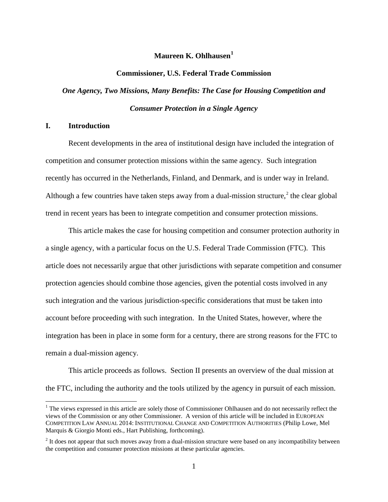# **Maureen K. Ohlhausen[1](#page-0-0)**

#### **Commissioner, U.S. Federal Trade Commission**

# *One Agency, Two Missions, Many Benefits: The Case for Housing Competition and Consumer Protection in a Single Agency*

## **I. Introduction**

Recent developments in the area of institutional design have included the integration of competition and consumer protection missions within the same agency. Such integration recently has occurred in the Netherlands, Finland, and Denmark, and is under way in Ireland. Although a few countries have taken steps away from a dual-mission structure,<sup>[2](#page-0-1)</sup> the clear global trend in recent years has been to integrate competition and consumer protection missions.

This article makes the case for housing competition and consumer protection authority in a single agency, with a particular focus on the U.S. Federal Trade Commission (FTC). This article does not necessarily argue that other jurisdictions with separate competition and consumer protection agencies should combine those agencies, given the potential costs involved in any such integration and the various jurisdiction-specific considerations that must be taken into account before proceeding with such integration. In the United States, however, where the integration has been in place in some form for a century, there are strong reasons for the FTC to remain a dual-mission agency.

This article proceeds as follows. Section II presents an overview of the dual mission at the FTC, including the authority and the tools utilized by the agency in pursuit of each mission.

<span id="page-0-0"></span><sup>&</sup>lt;sup>1</sup> The views expressed in this article are solely those of Commissioner Ohlhausen and do not necessarily reflect the views of the Commission or any other Commissioner. A version of this article will be included in EUROPEAN COMPETITION LAW ANNUAL 2014: INSTITUTIONAL CHANGE AND COMPETITION AUTHORITIES (Philip Lowe, Mel Marquis & Giorgio Monti eds., Hart Publishing, forthcoming).

<span id="page-0-1"></span> $2$  It does not appear that such moves away from a dual-mission structure were based on any incompatibility between the competition and consumer protection missions at these particular agencies.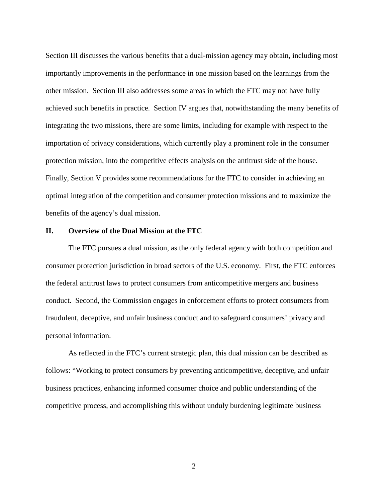Section III discusses the various benefits that a dual-mission agency may obtain, including most importantly improvements in the performance in one mission based on the learnings from the other mission. Section III also addresses some areas in which the FTC may not have fully achieved such benefits in practice. Section IV argues that, notwithstanding the many benefits of integrating the two missions, there are some limits, including for example with respect to the importation of privacy considerations, which currently play a prominent role in the consumer protection mission, into the competitive effects analysis on the antitrust side of the house. Finally, Section V provides some recommendations for the FTC to consider in achieving an optimal integration of the competition and consumer protection missions and to maximize the benefits of the agency's dual mission.

## **II. Overview of the Dual Mission at the FTC**

The FTC pursues a dual mission, as the only federal agency with both competition and consumer protection jurisdiction in broad sectors of the U.S. economy. First, the FTC enforces the federal antitrust laws to protect consumers from anticompetitive mergers and business conduct. Second, the Commission engages in enforcement efforts to protect consumers from fraudulent, deceptive, and unfair business conduct and to safeguard consumers' privacy and personal information.

As reflected in the FTC's current strategic plan, this dual mission can be described as follows: "Working to protect consumers by preventing anticompetitive, deceptive, and unfair business practices, enhancing informed consumer choice and public understanding of the competitive process, and accomplishing this without unduly burdening legitimate business

2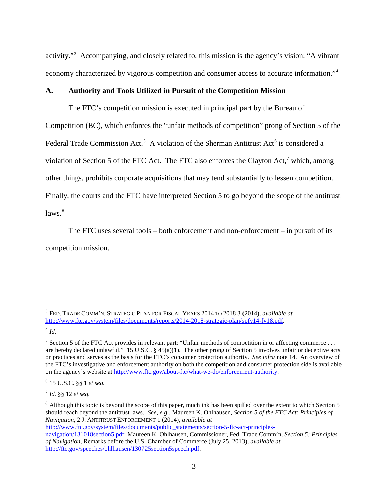activity."<sup>[3](#page-2-0)</sup> Accompanying, and closely related to, this mission is the agency's vision: "A vibrant economy characterized by vigorous competition and consumer access to accurate information."[4](#page-2-1)

#### **A. Authority and Tools Utilized in Pursuit of the Competition Mission**

The FTC's competition mission is executed in principal part by the Bureau of Competition (BC), which enforces the "unfair methods of competition" prong of Section 5 of the Federal Trade Commission Act.<sup>[5](#page-2-2)</sup> A violation of the Sherman Antitrust Act<sup>[6](#page-2-3)</sup> is considered a violation of Section 5 of the FTC Act. The FTC also enforces the Clayton Act,<sup>[7](#page-2-4)</sup> which, among other things, prohibits corporate acquisitions that may tend substantially to lessen competition. Finally, the courts and the FTC have interpreted Section 5 to go beyond the scope of the antitrust  $laws.<sup>8</sup>$  $laws.<sup>8</sup>$  $laws.<sup>8</sup>$ 

The FTC uses several tools – both enforcement and non-enforcement – in pursuit of its competition mission.

<span id="page-2-0"></span> <sup>3</sup> FED. TRADE COMM'N, STRATEGIC PLAN FOR FISCAL YEARS 2014 TO 2018 3 (2014), *available at* [http://www.ftc.gov/system/files/documents/reports/2014-2018-strategic-plan/spfy14-fy18.pdf.](http://www.ftc.gov/system/files/documents/reports/2014-2018-strategic-plan/spfy14-fy18.pdf)

<span id="page-2-1"></span><sup>4</sup> *Id.*

<span id="page-2-2"></span> $5$  Section 5 of the FTC Act provides in relevant part: "Unfair methods of competition in or affecting commerce ... are hereby declared unlawful." 15 U.S.C.  $\S 45(a)(1)$ . The other prong of Section 5 involves unfair or deceptive acts or practices and serves as the basis for the FTC's consumer protection authority. *See infra* note [14.](#page-4-0) An overview of the FTC's investigative and enforcement authority on both the competition and consumer protection side is available on the agency's website at [http://www.ftc.gov/about-ftc/what-we-do/enforcement-authority.](http://www.ftc.gov/about-ftc/what-we-do/enforcement-authority)

<span id="page-2-3"></span><sup>6</sup> 15 U.S.C. §§ 1 *et seq.*

<span id="page-2-4"></span><sup>7</sup> *Id.* §§ 12 *et seq.*

<span id="page-2-5"></span><sup>&</sup>lt;sup>8</sup> Although this topic is beyond the scope of this paper, much ink has been spilled over the extent to which Section 5 should reach beyond the antitrust laws. *See, e.g.*, Maureen K. Ohlhausen, *Section 5 of the FTC Act: Principles of Navigation*, 2 J. ANTITRUST ENFORCEMENT 1 (2014), *available at* [http://www.ftc.gov/system/files/documents/public\\_statements/section-5-ftc-act-principles](http://www.ftc.gov/system/files/documents/public_statements/section-5-ftc-act-principles-navigation/131018section5.pdf)[navigation/131018section5.pdf;](http://www.ftc.gov/system/files/documents/public_statements/section-5-ftc-act-principles-navigation/131018section5.pdf) Maureen K. Ohlhausen, Commissioner, Fed. Trade Comm'n, *Section 5: Principles of Navigation*, Remarks before the U.S. Chamber of Commerce (July 25, 2013), *available at*

[http://ftc.gov/speeches/ohlhausen/130725section5speech.pdf.](http://ftc.gov/speeches/ohlhausen/130725section5speech.pdf)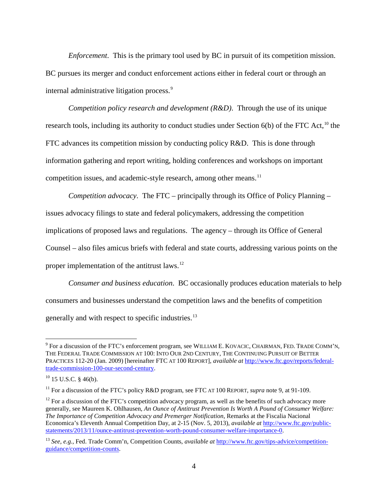*Enforcement*. This is the primary tool used by BC in pursuit of its competition mission. BC pursues its merger and conduct enforcement actions either in federal court or through an internal administrative litigation process.<sup>[9](#page-3-1)</sup>

<span id="page-3-0"></span>*Competition policy research and development (R&D)*. Through the use of its unique research tools, including its authority to conduct studies under Section  $6(b)$  of the FTC Act,<sup>[10](#page-3-2)</sup> the FTC advances its competition mission by conducting policy R&D. This is done through information gathering and report writing, holding conferences and workshops on important competition issues, and academic-style research, among other means.<sup>[11](#page-3-3)</sup>

*Competition advocacy*. The FTC – principally through its Office of Policy Planning – issues advocacy filings to state and federal policymakers, addressing the competition implications of proposed laws and regulations. The agency – through its Office of General Counsel – also files amicus briefs with federal and state courts, addressing various points on the proper implementation of the antitrust laws.[12](#page-3-4)

*Consumer and business education*. BC occasionally produces education materials to help consumers and businesses understand the competition laws and the benefits of competition generally and with respect to specific industries.<sup>[13](#page-3-5)</sup>

<span id="page-3-1"></span><sup>&</sup>lt;sup>9</sup> For a discussion of the FTC's enforcement program, see WILLIAM E. KOVACIC, CHAIRMAN, FED. TRADE COMM'N, THE FEDERAL TRADE COMMISSION AT 100: INTO OUR 2ND CENTURY, THE CONTINUING PURSUIT OF BETTER PRACTICES 112-20 (Jan. 2009) [hereinafter FTC AT 100 REPORT], *available at* [http://www.ftc.gov/reports/federal](http://www.ftc.gov/reports/federal-trade-commission-100-our-second-century)[trade-commission-100-our-second-century.](http://www.ftc.gov/reports/federal-trade-commission-100-our-second-century)

<span id="page-3-2"></span> $10$  15 U.S.C. § 46(b).

<span id="page-3-3"></span><sup>&</sup>lt;sup>11</sup> For a discussion of the FTC's policy R&D program, see FTC AT 100 REPORT, *supra* note [9,](#page-3-0) at 91-109.

<span id="page-3-4"></span> $12$  For a discussion of the FTC's competition advocacy program, as well as the benefits of such advocacy more generally, see Maureen K. Ohlhausen, *An Ounce of Antitrust Prevention Is Worth A Pound of Consumer Welfare: The Importance of Competition Advocacy and Premerger Notification*, Remarks at the Fiscalia Nacional Economica's Eleventh Annual Competition Day, at 2-15 (Nov. 5, 2013), *available at* [http://www.ftc.gov/public](http://www.ftc.gov/public-statements/2013/11/ounce-antitrust-prevention-worth-pound-consumer-welfare-importance-0)[statements/2013/11/ounce-antitrust-prevention-worth-pound-consumer-welfare-importance-0.](http://www.ftc.gov/public-statements/2013/11/ounce-antitrust-prevention-worth-pound-consumer-welfare-importance-0)

<span id="page-3-5"></span><sup>13</sup> *See, e.g.*, Fed. Trade Comm'n, Competition Counts, *available at* [http://www.ftc.gov/tips-advice/competition](http://www.ftc.gov/tips-advice/competition-guidance/competition-counts)[guidance/competition-counts.](http://www.ftc.gov/tips-advice/competition-guidance/competition-counts)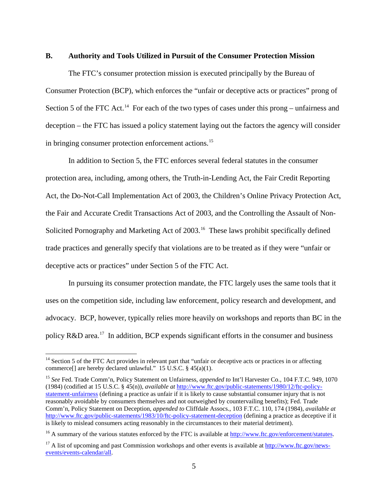#### **B. Authority and Tools Utilized in Pursuit of the Consumer Protection Mission**

<span id="page-4-0"></span>The FTC's consumer protection mission is executed principally by the Bureau of Consumer Protection (BCP), which enforces the "unfair or deceptive acts or practices" prong of Section 5 of the FTC Act.<sup>[14](#page-4-1)</sup> For each of the two types of cases under this prong – unfairness and deception – the FTC has issued a policy statement laying out the factors the agency will consider in bringing consumer protection enforcement actions.<sup>[15](#page-4-2)</sup>

In addition to Section 5, the FTC enforces several federal statutes in the consumer protection area, including, among others, the Truth-in-Lending Act, the Fair Credit Reporting Act, the Do-Not-Call Implementation Act of 2003, the Children's Online Privacy Protection Act, the Fair and Accurate Credit Transactions Act of 2003, and the Controlling the Assault of Non-Solicited Pornography and Marketing Act of 2003.<sup>16</sup> These laws prohibit specifically defined trade practices and generally specify that violations are to be treated as if they were "unfair or deceptive acts or practices" under Section 5 of the FTC Act.

In pursuing its consumer protection mandate, the FTC largely uses the same tools that it uses on the competition side, including law enforcement, policy research and development, and advocacy. BCP, however, typically relies more heavily on workshops and reports than BC in the policy R&D area.<sup>[17](#page-4-4)</sup> In addition, BCP expends significant efforts in the consumer and business

<span id="page-4-1"></span><sup>&</sup>lt;sup>14</sup> Section 5 of the FTC Act provides in relevant part that "unfair or deceptive acts or practices in or affecting commerce<sup>[]</sup> are hereby declared unlawful." 15 U.S.C. § 45(a)(1).

<span id="page-4-2"></span><sup>15</sup> *See* Fed. Trade Comm'n, Policy Statement on Unfairness, *appended to* Int'l Harvester Co., 104 F.T.C. 949, 1070 (1984) (codified at 15 U.S.C. § 45(n)), *available at* [http://www.ftc.gov/public-statements/1980/12/ftc-policy](http://www.ftc.gov/public-statements/1980/12/ftc-policy-statement-unfairness)[statement-unfairness](http://www.ftc.gov/public-statements/1980/12/ftc-policy-statement-unfairness) (defining a practice as unfair if it is likely to cause substantial consumer injury that is not reasonably avoidable by consumers themselves and not outweighed by countervailing benefits); Fed. Trade Comm'n, Policy Statement on Deception, *appended to* Cliffdale Assocs., 103 F.T.C. 110, 174 (1984), *available at* <http://www.ftc.gov/public-statements/1983/10/ftc-policy-statement-deception> (defining a practice as deceptive if it is likely to mislead consumers acting reasonably in the circumstances to their material detriment).

<span id="page-4-3"></span> $16$  A summary of the various statutes enforced by the FTC is available at [http://www.ftc.gov/enforcement/statutes.](http://www.ftc.gov/enforcement/statutes)

<span id="page-4-4"></span><sup>&</sup>lt;sup>17</sup> A list of upcoming and past Commission workshops and other events is available a[t http://www.ftc.gov/news](http://www.ftc.gov/news-events/events-calendar/all)[events/events-calendar/all.](http://www.ftc.gov/news-events/events-calendar/all)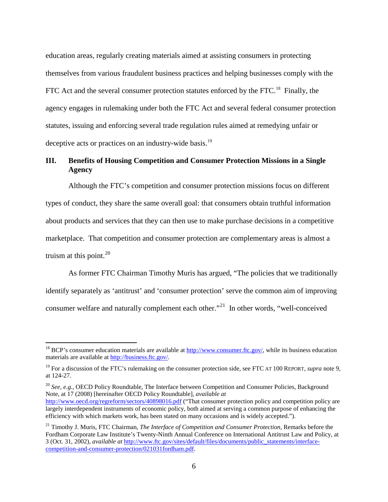education areas, regularly creating materials aimed at assisting consumers in protecting themselves from various fraudulent business practices and helping businesses comply with the FTC Act and the several consumer protection statutes enforced by the FTC.<sup>18</sup> Finally, the agency engages in rulemaking under both the FTC Act and several federal consumer protection statutes, issuing and enforcing several trade regulation rules aimed at remedying unfair or deceptive acts or practices on an industry-wide basis.<sup>[19](#page-5-1)</sup>

# **III. Benefits of Housing Competition and Consumer Protection Missions in a Single Agency**

Although the FTC's competition and consumer protection missions focus on different types of conduct, they share the same overall goal: that consumers obtain truthful information about products and services that they can then use to make purchase decisions in a competitive marketplace. That competition and consumer protection are complementary areas is almost a truism at this point. $20$ 

As former FTC Chairman Timothy Muris has argued, "The policies that we traditionally identify separately as 'antitrust' and 'consumer protection' serve the common aim of improving consumer welfare and naturally complement each other."[21](#page-5-3) In other words, "well-conceived

<span id="page-5-2"></span><sup>20</sup> *See, e.g.*, OECD Policy Roundtable, The Interface between Competition and Consumer Policies, Background Note, at 17 (2008) [hereinafter OECD Policy Roundtable], *available at* <http://www.oecd.org/regreform/sectors/40898016.pdf> ("That consumer protection policy and competition policy are largely interdependent instruments of economic policy, both aimed at serving a common purpose of enhancing the efficiency with which markets work, has been stated on many occasions and is widely accepted.").

<span id="page-5-0"></span><sup>&</sup>lt;sup>18</sup> BCP's consumer education materials are available at  $\frac{http://www.comsumer.ftc.gov/}{http://www.comsumer.ftc.gov/})$ , while its business education materials are available at [http://business.ftc.gov/.](http://business.ftc.gov/)

<span id="page-5-1"></span><sup>&</sup>lt;sup>19</sup> For a discussion of the FTC's rulemaking on the consumer protection side, see FTC AT 100 REPORT, *supra* note [9,](#page-3-0) at 124-27.

<span id="page-5-3"></span><sup>21</sup> Timothy J. Muris, FTC Chairman, *The Interface of Competition and Consumer Protection*, Remarks before the Fordham Corporate Law Institute's Twenty-Ninth Annual Conference on International Antitrust Law and Policy, at 3 (Oct. 31, 2002), *available at* [http://www.ftc.gov/sites/default/files/documents/public\\_statements/interface](http://www.ftc.gov/sites/default/files/documents/public_statements/interface-competition-and-consumer-protection/021031fordham.pdf)[competition-and-consumer-protection/021031fordham.pdf.](http://www.ftc.gov/sites/default/files/documents/public_statements/interface-competition-and-consumer-protection/021031fordham.pdf)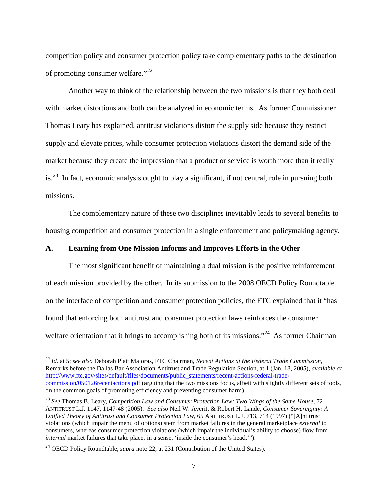<span id="page-6-0"></span>competition policy and consumer protection policy take complementary paths to the destination of promoting consumer welfare."<sup>22</sup>

Another way to think of the relationship between the two missions is that they both deal with market distortions and both can be analyzed in economic terms. As former Commissioner Thomas Leary has explained, antitrust violations distort the supply side because they restrict supply and elevate prices, while consumer protection violations distort the demand side of the market because they create the impression that a product or service is worth more than it really is.<sup>23</sup> In fact, economic analysis ought to play a significant, if not central, role in pursuing both missions.

The complementary nature of these two disciplines inevitably leads to several benefits to housing competition and consumer protection in a single enforcement and policymaking agency.

#### **A. Learning from One Mission Informs and Improves Efforts in the Other**

The most significant benefit of maintaining a dual mission is the positive reinforcement of each mission provided by the other. In its submission to the 2008 OECD Policy Roundtable on the interface of competition and consumer protection policies, the FTC explained that it "has found that enforcing both antitrust and consumer protection laws reinforces the consumer welfare orientation that it brings to accomplishing both of its missions."<sup>24</sup> As former Chairman

<span id="page-6-1"></span> <sup>22</sup> *Id.* at 5; *see also* Deborah Platt Majoras, FTC Chairman, *Recent Actions at the Federal Trade Commission*, Remarks before the Dallas Bar Association Antitrust and Trade Regulation Section, at 1 (Jan. 18, 2005), *available at* [http://www.ftc.gov/sites/default/files/documents/public\\_statements/recent-actions-federal-trade](http://www.ftc.gov/sites/default/files/documents/public_statements/recent-actions-federal-trade-commission/050126recentactions.pdf)[commission/050126recentactions.pdf](http://www.ftc.gov/sites/default/files/documents/public_statements/recent-actions-federal-trade-commission/050126recentactions.pdf) (arguing that the two missions focus, albeit with slightly different sets of tools, on the common goals of promoting efficiency and preventing consumer harm).

<span id="page-6-2"></span><sup>23</sup> *See* Thomas B. Leary, *Competition Law and Consumer Protection Law: Two Wings of the Same House*, 72 ANTITRUST L.J. 1147, 1147-48 (2005). *See also* Neil W. Averitt & Robert H. Lande, *Consumer Sovereignty: A Unified Theory of Antitrust and Consumer Protection Law*, 65 ANTITRUST L.J. 713, 714 (1997) ("[A]ntitrust violations (which impair the menu of options) stem from market failures in the general marketplace *external* to consumers, whereas consumer protection violations (which impair the individual's ability to choose) flow from *internal* market failures that take place, in a sense, 'inside the consumer's head.'").

<span id="page-6-3"></span><sup>&</sup>lt;sup>24</sup> OECD Policy Roundtable, *supra* note [22,](#page-6-0) at 231 (Contribution of the United States).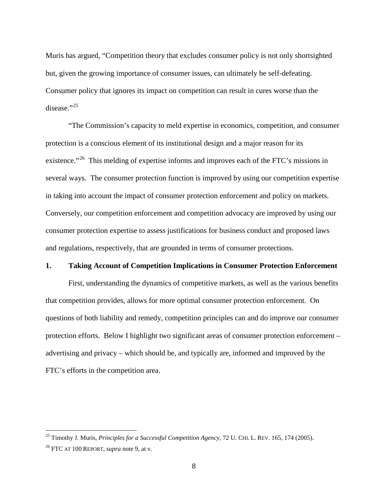Muris has argued, "Competition theory that excludes consumer policy is not only shortsighted but, given the growing importance of consumer issues, can ultimately be self-defeating. Consumer policy that ignores its impact on competition can result in cures worse than the disease." $^{25}$  $^{25}$  $^{25}$ 

<span id="page-7-2"></span>"The Commission's capacity to meld expertise in economics, competition, and consumer protection is a conscious element of its institutional design and a major reason for its existence."<sup>[26](#page-7-1)</sup> This melding of expertise informs and improves each of the FTC's missions in several ways. The consumer protection function is improved by using our competition expertise in taking into account the impact of consumer protection enforcement and policy on markets. Conversely, our competition enforcement and competition advocacy are improved by using our consumer protection expertise to assess justifications for business conduct and proposed laws and regulations, respectively, that are grounded in terms of consumer protections.

# **1. Taking Account of Competition Implications in Consumer Protection Enforcement**

First, understanding the dynamics of competitive markets, as well as the various benefits that competition provides, allows for more optimal consumer protection enforcement. On questions of both liability and remedy, competition principles can and do improve our consumer protection efforts. Below I highlight two significant areas of consumer protection enforcement – advertising and privacy – which should be, and typically are, informed and improved by the FTC's efforts in the competition area.

<span id="page-7-0"></span> <sup>25</sup> Timothy J. Muris, *Principles for a Successful Competition Agency*, 72 U. CHI. L. REV. 165, 174 (2005).

<span id="page-7-1"></span><sup>26</sup> FTC AT 100 REPORT, *supra* note [9,](#page-3-0) at v.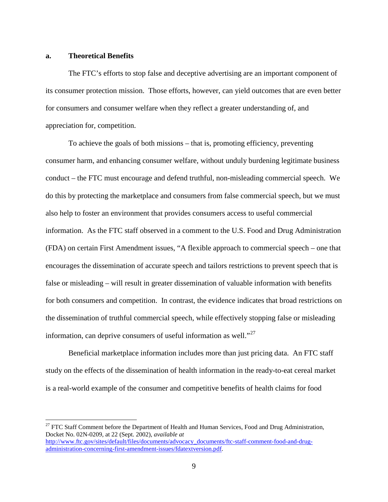#### **a. Theoretical Benefits**

The FTC's efforts to stop false and deceptive advertising are an important component of its consumer protection mission. Those efforts, however, can yield outcomes that are even better for consumers and consumer welfare when they reflect a greater understanding of, and appreciation for, competition.

To achieve the goals of both missions – that is, promoting efficiency, preventing consumer harm, and enhancing consumer welfare, without unduly burdening legitimate business conduct – the FTC must encourage and defend truthful, non-misleading commercial speech. We do this by protecting the marketplace and consumers from false commercial speech, but we must also help to foster an environment that provides consumers access to useful commercial information. As the FTC staff observed in a comment to the U.S. Food and Drug Administration (FDA) on certain First Amendment issues, "A flexible approach to commercial speech – one that encourages the dissemination of accurate speech and tailors restrictions to prevent speech that is false or misleading – will result in greater dissemination of valuable information with benefits for both consumers and competition. In contrast, the evidence indicates that broad restrictions on the dissemination of truthful commercial speech, while effectively stopping false or misleading information, can deprive consumers of useful information as well. $1^{27}$  $1^{27}$  $1^{27}$ 

Beneficial marketplace information includes more than just pricing data. An FTC staff study on the effects of the dissemination of health information in the ready-to-eat cereal market is a real-world example of the consumer and competitive benefits of health claims for food

<span id="page-8-0"></span><sup>&</sup>lt;sup>27</sup> FTC Staff Comment before the Department of Health and Human Services, Food and Drug Administration, Docket No. 02N-0209, at 22 (Sept. 2002), *available at* [http://www.ftc.gov/sites/default/files/documents/advocacy\\_documents/ftc-staff-comment-food-and-drug](http://www.ftc.gov/sites/default/files/documents/advocacy_documents/ftc-staff-comment-food-and-drug-administration-concerning-first-amendment-issues/fdatextversion.pdf)[administration-concerning-first-amendment-issues/fdatextversion.pdf.](http://www.ftc.gov/sites/default/files/documents/advocacy_documents/ftc-staff-comment-food-and-drug-administration-concerning-first-amendment-issues/fdatextversion.pdf)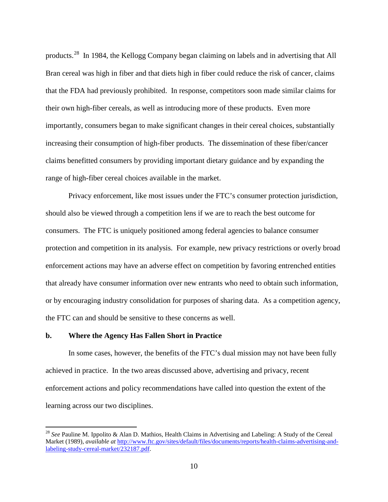products.[28](#page-9-0) In 1984, the Kellogg Company began claiming on labels and in advertising that All Bran cereal was high in fiber and that diets high in fiber could reduce the risk of cancer, claims that the FDA had previously prohibited. In response, competitors soon made similar claims for their own high-fiber cereals, as well as introducing more of these products. Even more importantly, consumers began to make significant changes in their cereal choices, substantially increasing their consumption of high-fiber products. The dissemination of these fiber/cancer claims benefitted consumers by providing important dietary guidance and by expanding the range of high-fiber cereal choices available in the market.

Privacy enforcement, like most issues under the FTC's consumer protection jurisdiction, should also be viewed through a competition lens if we are to reach the best outcome for consumers. The FTC is uniquely positioned among federal agencies to balance consumer protection and competition in its analysis. For example, new privacy restrictions or overly broad enforcement actions may have an adverse effect on competition by favoring entrenched entities that already have consumer information over new entrants who need to obtain such information, or by encouraging industry consolidation for purposes of sharing data. As a competition agency, the FTC can and should be sensitive to these concerns as well.

#### **b. Where the Agency Has Fallen Short in Practice**

In some cases, however, the benefits of the FTC's dual mission may not have been fully achieved in practice. In the two areas discussed above, advertising and privacy, recent enforcement actions and policy recommendations have called into question the extent of the learning across our two disciplines.

<span id="page-9-0"></span> <sup>28</sup> *See* Pauline M. Ippolito & Alan D. Mathios, Health Claims in Advertising and Labeling: A Study of the Cereal Market (1989), *available at* [http://www.ftc.gov/sites/default/files/documents/reports/health-claims-advertising-and](http://www.ftc.gov/sites/default/files/documents/reports/health-claims-advertising-and-labeling-study-cereal-market/232187.pdf)[labeling-study-cereal-market/232187.pdf.](http://www.ftc.gov/sites/default/files/documents/reports/health-claims-advertising-and-labeling-study-cereal-market/232187.pdf)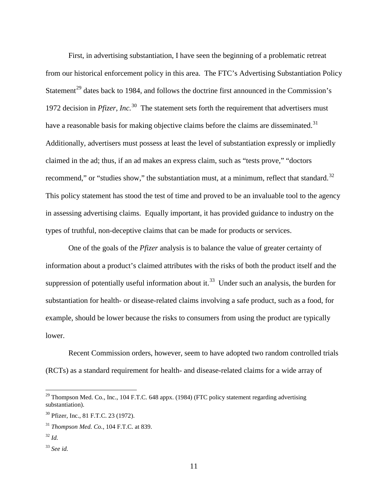First, in advertising substantiation, I have seen the beginning of a problematic retreat from our historical enforcement policy in this area. The FTC's Advertising Substantiation Policy Statement<sup>[29](#page-10-0)</sup> dates back to 1984, and follows the doctrine first announced in the Commission's 1972 decision in *Pfizer, Inc.*[30](#page-10-1) The statement sets forth the requirement that advertisers must have a reasonable basis for making objective claims before the claims are disseminated.<sup>[31](#page-10-2)</sup> Additionally, advertisers must possess at least the level of substantiation expressly or impliedly claimed in the ad; thus, if an ad makes an express claim, such as "tests prove," "doctors recommend," or "studies show," the substantiation must, at a minimum, reflect that standard. $32$ This policy statement has stood the test of time and proved to be an invaluable tool to the agency in assessing advertising claims. Equally important, it has provided guidance to industry on the types of truthful, non-deceptive claims that can be made for products or services.

One of the goals of the *Pfizer* analysis is to balance the value of greater certainty of information about a product's claimed attributes with the risks of both the product itself and the suppression of potentially useful information about it.<sup>[33](#page-10-4)</sup> Under such an analysis, the burden for substantiation for health- or disease-related claims involving a safe product, such as a food, for example, should be lower because the risks to consumers from using the product are typically lower.

Recent Commission orders, however, seem to have adopted two random controlled trials (RCTs) as a standard requirement for health- and disease-related claims for a wide array of

<span id="page-10-0"></span> $^{29}$  Thompson Med. Co., Inc., 104 F.T.C. 648 appx. (1984) (FTC policy statement regarding advertising substantiation).

<span id="page-10-1"></span><sup>&</sup>lt;sup>30</sup> Pfizer, Inc., 81 F.T.C. 23 (1972).

<span id="page-10-2"></span><sup>31</sup> *Thompson Med. Co.*, 104 F.T.C. at 839.

<span id="page-10-3"></span><sup>32</sup> *Id.*

<span id="page-10-4"></span><sup>33</sup> *See id.*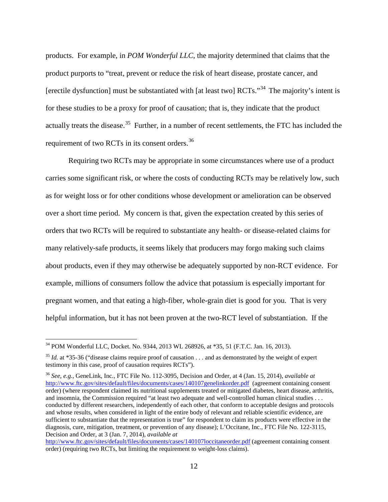products. For example, in *POM Wonderful LLC*, the majority determined that claims that the product purports to "treat, prevent or reduce the risk of heart disease, prostate cancer, and [erectile dysfunction] must be substantiated with [at least two]  $\text{RCTs}$ .<sup>[34](#page-11-0)</sup> The majority's intent is for these studies to be a proxy for proof of causation; that is, they indicate that the product actually treats the disease.<sup>35</sup> Further, in a number of recent settlements, the FTC has included the requirement of two RCTs in its consent orders.<sup>[36](#page-11-2)</sup>

Requiring two RCTs may be appropriate in some circumstances where use of a product carries some significant risk, or where the costs of conducting RCTs may be relatively low, such as for weight loss or for other conditions whose development or amelioration can be observed over a short time period. My concern is that, given the expectation created by this series of orders that two RCTs will be required to substantiate any health- or disease-related claims for many relatively-safe products, it seems likely that producers may forgo making such claims about products, even if they may otherwise be adequately supported by non-RCT evidence. For example, millions of consumers follow the advice that potassium is especially important for pregnant women, and that eating a high-fiber, whole-grain diet is good for you. That is very helpful information, but it has not been proven at the two-RCT level of substantiation. If the

<span id="page-11-0"></span> <sup>34</sup> POM Wonderful LLC, Docket. No. 9344, 2013 WL 268926, at \*35, 51 (F.T.C. Jan. 16, 2013).

<span id="page-11-1"></span><sup>&</sup>lt;sup>35</sup> *Id.* at \*35-36 ("disease claims require proof of causation . . . and as demonstrated by the weight of expert testimony in this case, proof of causation requires RCTs").

<span id="page-11-2"></span><sup>36</sup> *See, e.g.*, GeneLink, Inc., FTC File No. 112-3095, Decision and Order, at 4 (Jan. 15, 2014), *available at* <http://www.ftc.gov/sites/default/files/documents/cases/140107genelinkorder.pdf>(agreement containing consent order) (where respondent claimed its nutritional supplements treated or mitigated diabetes, heart disease, arthritis, and insomnia, the Commission required "at least two adequate and well-controlled human clinical studies . . . conducted by different researchers, independently of each other, that conform to acceptable designs and protocols and whose results, when considered in light of the entire body of relevant and reliable scientific evidence, are sufficient to substantiate that the representation is true" for respondent to claim its products were effective in the diagnosis, cure, mitigation, treatment, or prevention of any disease); L'Occitane, Inc., FTC File No. 122-3115, Decision and Order, at 3 (Jan. 7, 2014), *available at*

<http://www.ftc.gov/sites/default/files/documents/cases/140107loccitaneorder.pdf> (agreement containing consent order) (requiring two RCTs, but limiting the requirement to weight-loss claims).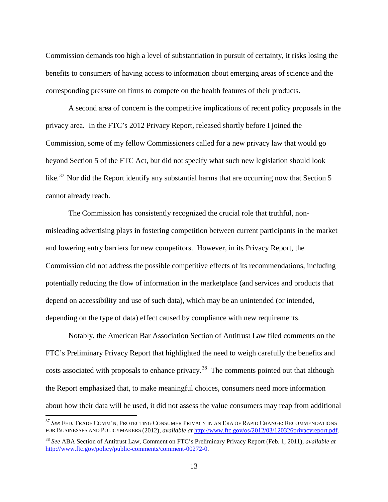Commission demands too high a level of substantiation in pursuit of certainty, it risks losing the benefits to consumers of having access to information about emerging areas of science and the corresponding pressure on firms to compete on the health features of their products.

A second area of concern is the competitive implications of recent policy proposals in the privacy area. In the FTC's 2012 Privacy Report, released shortly before I joined the Commission, some of my fellow Commissioners called for a new privacy law that would go beyond Section 5 of the FTC Act, but did not specify what such new legislation should look like.<sup>37</sup> Nor did the Report identify any substantial harms that are occurring now that Section 5 cannot already reach.

The Commission has consistently recognized the crucial role that truthful, nonmisleading advertising plays in fostering competition between current participants in the market and lowering entry barriers for new competitors. However, in its Privacy Report, the Commission did not address the possible competitive effects of its recommendations, including potentially reducing the flow of information in the marketplace (and services and products that depend on accessibility and use of such data), which may be an unintended (or intended, depending on the type of data) effect caused by compliance with new requirements.

Notably, the American Bar Association Section of Antitrust Law filed comments on the FTC's Preliminary Privacy Report that highlighted the need to weigh carefully the benefits and costs associated with proposals to enhance privacy.<sup>38</sup> The comments pointed out that although the Report emphasized that, to make meaningful choices, consumers need more information about how their data will be used, it did not assess the value consumers may reap from additional

<span id="page-12-0"></span> <sup>37</sup> *See* FED. TRADE COMM'N, PROTECTING CONSUMER PRIVACY IN AN ERA OF RAPID CHANGE: RECOMMENDATIONS FOR BUSINESSES AND POLICYMAKERS (2012), *available at* [http://www.ftc.gov/os/2012/03/120326privacyreport.pdf.](http://www.ftc.gov/os/2012/03/120326privacyreport.pdf)

<span id="page-12-1"></span><sup>38</sup> *See* ABA Section of Antitrust Law, Comment on FTC's Preliminary Privacy Report (Feb. 1, 2011), *available a[t](http://www.ftc.gov/os/comments/privacyreportframework/00272-57555.pdf)* [http://www.ftc.gov/policy/public-comments/comment-00272-0.](http://www.ftc.gov/os/comments/privacyreportframework/00272-57555.pdf)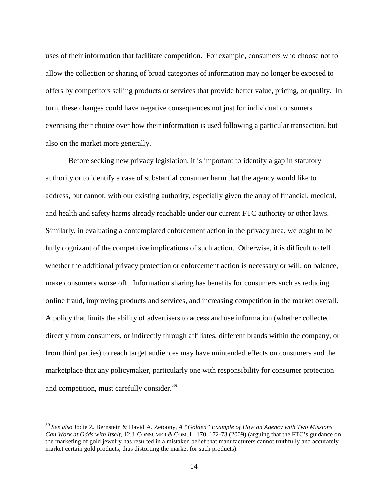uses of their information that facilitate competition. For example, consumers who choose not to allow the collection or sharing of broad categories of information may no longer be exposed to offers by competitors selling products or services that provide better value, pricing, or quality. In turn, these changes could have negative consequences not just for individual consumers exercising their choice over how their information is used following a particular transaction, but also on the market more generally.

Before seeking new privacy legislation, it is important to identify a gap in statutory authority or to identify a case of substantial consumer harm that the agency would like to address, but cannot, with our existing authority, especially given the array of financial, medical, and health and safety harms already reachable under our current FTC authority or other laws. Similarly, in evaluating a contemplated enforcement action in the privacy area, we ought to be fully cognizant of the competitive implications of such action. Otherwise, it is difficult to tell whether the additional privacy protection or enforcement action is necessary or will, on balance, make consumers worse off. Information sharing has benefits for consumers such as reducing online fraud, improving products and services, and increasing competition in the market overall. A policy that limits the ability of advertisers to access and use information (whether collected directly from consumers, or indirectly through affiliates, different brands within the company, or from third parties) to reach target audiences may have unintended effects on consumers and the marketplace that any policymaker, particularly one with responsibility for consumer protection and competition, must carefully consider.<sup>[39](#page-13-0)</sup>

<span id="page-13-0"></span> <sup>39</sup> *See also* Jodie Z. Bernstein & David A. Zetoony, *A "Golden" Example of How an Agency with Two Missions Can Work at Odds with Itself*, 12 J. CONSUMER & COM. L. 170, 172-73 (2009) (arguing that the FTC's guidance on the marketing of gold jewelry has resulted in a mistaken belief that manufacturers cannot truthfully and accurately market certain gold products, thus distorting the market for such products).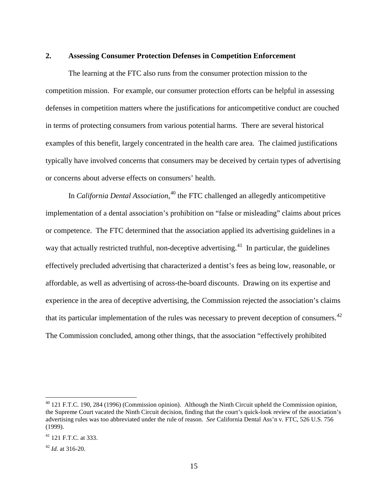#### **2. Assessing Consumer Protection Defenses in Competition Enforcement**

The learning at the FTC also runs from the consumer protection mission to the competition mission. For example, our consumer protection efforts can be helpful in assessing defenses in competition matters where the justifications for anticompetitive conduct are couched in terms of protecting consumers from various potential harms. There are several historical examples of this benefit, largely concentrated in the health care area. The claimed justifications typically have involved concerns that consumers may be deceived by certain types of advertising or concerns about adverse effects on consumers' health.

In *California Dental Association*, [40](#page-14-0) the FTC challenged an allegedly anticompetitive implementation of a dental association's prohibition on "false or misleading" claims about prices or competence. The FTC determined that the association applied its advertising guidelines in a way that actually restricted truthful, non-deceptive advertising.<sup>41</sup> In particular, the guidelines effectively precluded advertising that characterized a dentist's fees as being low, reasonable, or affordable, as well as advertising of across-the-board discounts. Drawing on its expertise and experience in the area of deceptive advertising, the Commission rejected the association's claims that its particular implementation of the rules was necessary to prevent deception of consumers.<sup>42</sup> The Commission concluded, among other things, that the association "effectively prohibited

<span id="page-14-3"></span><span id="page-14-0"></span><sup>&</sup>lt;sup>40</sup> 121 F.T.C. 190, 284 (1996) (Commission opinion). Although the Ninth Circuit upheld the Commission opinion, the Supreme Court vacated the Ninth Circuit decision, finding that the court's quick-look review of the association's advertising rules was too abbreviated under the rule of reason. *See* California Dental Ass'n v. FTC, 526 U.S. 756 (1999).

<span id="page-14-1"></span> $^{41}$  121 FTC at 333.

<span id="page-14-2"></span> $42$  *Id.* at 316-20.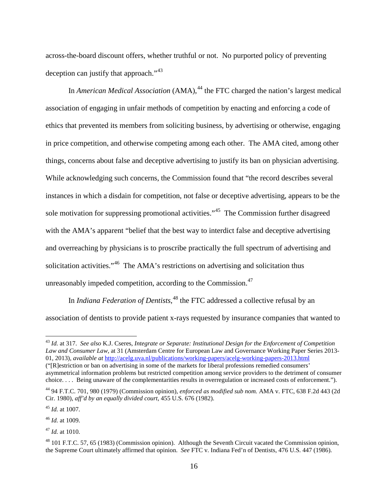across-the-board discount offers, whether truthful or not. No purported policy of preventing deception can justify that approach."<sup>[43](#page-15-0)</sup>

In *American Medical Association* (AMA), [44](#page-15-1) the FTC charged the nation's largest medical association of engaging in unfair methods of competition by enacting and enforcing a code of ethics that prevented its members from soliciting business, by advertising or otherwise, engaging in price competition, and otherwise competing among each other. The AMA cited, among other things, concerns about false and deceptive advertising to justify its ban on physician advertising. While acknowledging such concerns, the Commission found that "the record describes several instances in which a disdain for competition, not false or deceptive advertising, appears to be the sole motivation for suppressing promotional activities."<sup>[45](#page-15-2)</sup> The Commission further disagreed with the AMA's apparent "belief that the best way to interdict false and deceptive advertising and overreaching by physicians is to proscribe practically the full spectrum of advertising and solicitation activities."<sup>46</sup> The AMA's restrictions on advertising and solicitation thus unreasonably impeded competition, according to the Commission.<sup>[47](#page-15-4)</sup>

In *Indiana Federation of Dentists*, [48](#page-15-5) the FTC addressed a collective refusal by an association of dentists to provide patient x-rays requested by insurance companies that wanted to

<span id="page-15-0"></span> <sup>43</sup> *Id.* at 317. *See also* K.J. Cseres, *Integrate or Separate: Institutional Design for the Enforcement of Competition Law and Consumer Law*, at 31 (Amsterdam Centre for European Law and Governance Working Paper Series 2013- 01, 2013), *available at* <http://acelg.uva.nl/publications/working-papers/acelg-working-papers-2013.html> ("[R]estriction or ban on advertising in some of the markets for liberal professions remedied consumers' asymmetrical information problems but restricted competition among service providers to the detriment of consumer

choice. . . . Being unaware of the complementarities results in overregulation or increased costs of enforcement.").

<span id="page-15-1"></span><sup>44</sup> 94 F.T.C. 701, 980 (1979) (Commission opinion), *enforced as modified sub nom.* AMA v. FTC, 638 F.2d 443 (2d Cir. 1980), *aff'd by an equally divided court*, 455 U.S. 676 (1982).

<span id="page-15-2"></span><sup>45</sup> *Id.* at 1007.

<span id="page-15-3"></span><sup>46</sup> *Id.* at 1009.

<span id="page-15-4"></span><sup>47</sup> *Id.* at 1010.

<span id="page-15-5"></span><sup>48</sup> 101 F.T.C. 57, 65 (1983) (Commission opinion). Although the Seventh Circuit vacated the Commission opinion, the Supreme Court ultimately affirmed that opinion. *See* FTC v. Indiana Fed'n of Dentists, 476 U.S. 447 (1986).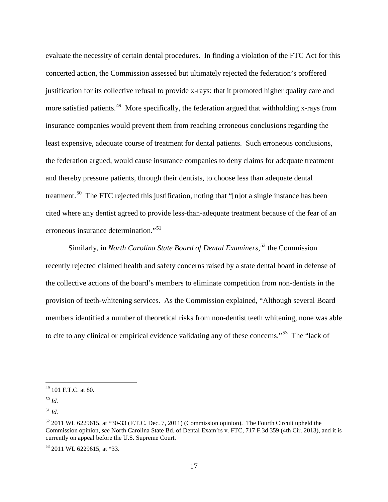evaluate the necessity of certain dental procedures. In finding a violation of the FTC Act for this concerted action, the Commission assessed but ultimately rejected the federation's proffered justification for its collective refusal to provide x-rays: that it promoted higher quality care and more satisfied patients.<sup>49</sup> More specifically, the federation argued that withholding x-rays from insurance companies would prevent them from reaching erroneous conclusions regarding the least expensive, adequate course of treatment for dental patients. Such erroneous conclusions, the federation argued, would cause insurance companies to deny claims for adequate treatment and thereby pressure patients, through their dentists, to choose less than adequate dental treatment.<sup>[50](#page-16-1)</sup> The FTC rejected this justification, noting that "[n]ot a single instance has been cited where any dentist agreed to provide less-than-adequate treatment because of the fear of an erroneous insurance determination."<sup>[51](#page-16-2)</sup>

Similarly, in *North Carolina State Board of Dental Examiners*, [52](#page-16-3) the Commission recently rejected claimed health and safety concerns raised by a state dental board in defense of the collective actions of the board's members to eliminate competition from non-dentists in the provision of teeth-whitening services. As the Commission explained, "Although several Board members identified a number of theoretical risks from non-dentist teeth whitening, none was able to cite to any clinical or empirical evidence validating any of these concerns."<sup>[53](#page-16-4)</sup> The "lack of

<span id="page-16-0"></span> $49$  101 F.T.C. at 80.

<span id="page-16-1"></span><sup>50</sup> *Id.*

<span id="page-16-2"></span><sup>51</sup> *Id.*

<span id="page-16-3"></span> $52$  2011 WL 6229615, at  $*30-33$  (F.T.C. Dec. 7, 2011) (Commission opinion). The Fourth Circuit upheld the Commission opinion, *see* North Carolina State Bd. of Dental Exam'rs v. FTC, 717 F.3d 359 (4th Cir. 2013), and it is currently on appeal before the U.S. Supreme Court.

<span id="page-16-4"></span><sup>53</sup> 2011 WL 6229615, at \*33.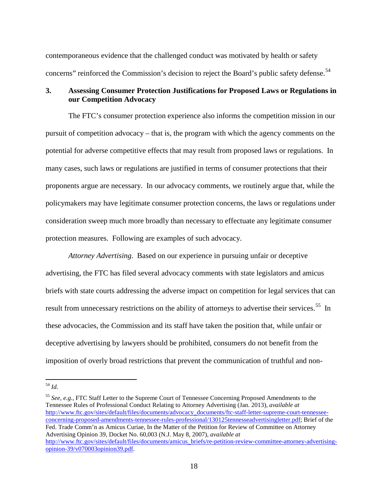contemporaneous evidence that the challenged conduct was motivated by health or safety concerns" reinforced the Commission's decision to reject the Board's public safety defense.<sup>[54](#page-17-0)</sup>

# **3. Assessing Consumer Protection Justifications for Proposed Laws or Regulations in our Competition Advocacy**

The FTC's consumer protection experience also informs the competition mission in our pursuit of competition advocacy – that is, the program with which the agency comments on the potential for adverse competitive effects that may result from proposed laws or regulations. In many cases, such laws or regulations are justified in terms of consumer protections that their proponents argue are necessary. In our advocacy comments, we routinely argue that, while the policymakers may have legitimate consumer protection concerns, the laws or regulations under consideration sweep much more broadly than necessary to effectuate any legitimate consumer protection measures. Following are examples of such advocacy.

*Attorney Advertising*. Based on our experience in pursuing unfair or deceptive advertising, the FTC has filed several advocacy comments with state legislators and amicus briefs with state courts addressing the adverse impact on competition for legal services that can result from unnecessary restrictions on the ability of attorneys to advertise their services.<sup>[55](#page-17-1)</sup> In these advocacies, the Commission and its staff have taken the position that, while unfair or deceptive advertising by lawyers should be prohibited, consumers do not benefit from the imposition of overly broad restrictions that prevent the communication of truthful and non-

<span id="page-17-0"></span> <sup>54</sup> *Id.*

<span id="page-17-1"></span><sup>55</sup> *See, e.g.*, FTC Staff Letter to the Supreme Court of Tennessee Concerning Proposed Amendments to the Tennessee Rules of Professional Conduct Relating to Attorney Advertising (Jan. 2013), *available at* [http://www.ftc.gov/sites/default/files/documents/advocacy\\_documents/ftc-staff-letter-supreme-court-tennessee](http://www.ftc.gov/sites/default/files/documents/advocacy_documents/ftc-staff-letter-supreme-court-tennessee-concerning-proposed-amendments-tennessee-rules-professional/130125tennesseadvertisingletter.pdf)[concerning-proposed-amendments-tennessee-rules-professional/130125tennesseadvertisingletter.pdf;](http://www.ftc.gov/sites/default/files/documents/advocacy_documents/ftc-staff-letter-supreme-court-tennessee-concerning-proposed-amendments-tennessee-rules-professional/130125tennesseadvertisingletter.pdf) Brief of the Fed. Trade Comm'n as Amicus Curiae, In the Matter of the Petition for Review of Committee on Attorney Advertising Opinion 39, Docket No. 60,003 (N.J. May 8, 2007), *available at* [http://www.ftc.gov/sites/default/files/documents/amicus\\_briefs/re-petition-review-committee-attorney-advertising](http://www.ftc.gov/sites/default/files/documents/amicus_briefs/re-petition-review-committee-attorney-advertising-opinion-39/v070003opinion39.pdf)[opinion-39/v070003opinion39.pdf.](http://www.ftc.gov/sites/default/files/documents/amicus_briefs/re-petition-review-committee-attorney-advertising-opinion-39/v070003opinion39.pdf)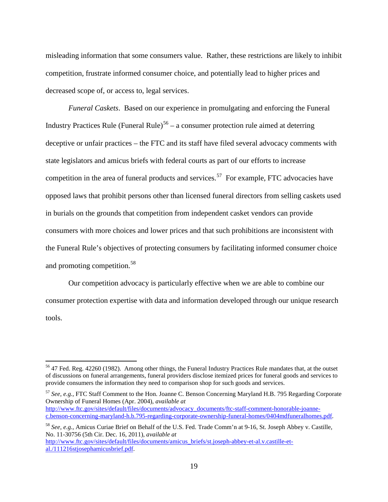misleading information that some consumers value. Rather, these restrictions are likely to inhibit competition, frustrate informed consumer choice, and potentially lead to higher prices and decreased scope of, or access to, legal services.

*Funeral Caskets*. Based on our experience in promulgating and enforcing the Funeral Industry Practices Rule (Funeral Rule)<sup>[56](#page-18-0)</sup> – a consumer protection rule aimed at deterring deceptive or unfair practices – the FTC and its staff have filed several advocacy comments with state legislators and amicus briefs with federal courts as part of our efforts to increase competition in the area of funeral products and services.<sup>[57](#page-18-1)</sup> For example, FTC advocacies have opposed laws that prohibit persons other than licensed funeral directors from selling caskets used in burials on the grounds that competition from independent casket vendors can provide consumers with more choices and lower prices and that such prohibitions are inconsistent with the Funeral Rule's objectives of protecting consumers by facilitating informed consumer choice and promoting competition.<sup>[58](#page-18-2)</sup>

Our competition advocacy is particularly effective when we are able to combine our consumer protection expertise with data and information developed through our unique research tools.

<span id="page-18-1"></span><sup>57</sup> *See, e.g.*, FTC Staff Comment to the Hon. Joanne C. Benson Concerning Maryland H.B. 795 Regarding Corporate Ownership of Funeral Homes (Apr. 2004), *available at* [http://www.ftc.gov/sites/default/files/documents/advocacy\\_documents/ftc-staff-comment-honorable-joanne](http://www.ftc.gov/sites/default/files/documents/advocacy_documents/ftc-staff-comment-honorable-joanne-c.benson-concerning-maryland-h.b.795-regarding-corporate-ownership-funeral-homes/0404mdfuneralhomes.pdf)[c.benson-concerning-maryland-h.b.795-regarding-corporate-ownership-funeral-homes/0404mdfuneralhomes.pdf.](http://www.ftc.gov/sites/default/files/documents/advocacy_documents/ftc-staff-comment-honorable-joanne-c.benson-concerning-maryland-h.b.795-regarding-corporate-ownership-funeral-homes/0404mdfuneralhomes.pdf)

<span id="page-18-0"></span><sup>&</sup>lt;sup>56</sup> 47 Fed. Reg. 42260 (1982). Among other things, the Funeral Industry Practices Rule mandates that, at the outset of discussions on funeral arrangements, funeral providers disclose itemized prices for funeral goods and services to provide consumers the information they need to comparison shop for such goods and services.

<span id="page-18-2"></span><sup>58</sup> *See, e.g.*, Amicus Curiae Brief on Behalf of the U.S. Fed. Trade Comm'n at 9-16, St. Joseph Abbey v. Castille, No. 11-30756 (5th Cir. Dec. 16, 2011), *available at* [http://www.ftc.gov/sites/default/files/documents/amicus\\_briefs/st.joseph-abbey-et-al.v.castille-et](http://www.ftc.gov/sites/default/files/documents/amicus_briefs/st.joseph-abbey-et-al.v.castille-et-al./111216stjosephamicusbrief.pdf)[al./111216stjosephamicusbrief.pdf.](http://www.ftc.gov/sites/default/files/documents/amicus_briefs/st.joseph-abbey-et-al.v.castille-et-al./111216stjosephamicusbrief.pdf)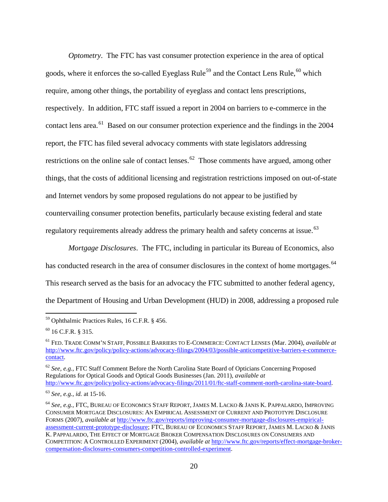*Optometry*. The FTC has vast consumer protection experience in the area of optical goods, where it enforces the so-called Eyeglass Rule<sup>[59](#page-19-0)</sup> and the Contact Lens Rule, <sup>[60](#page-19-1)</sup> which require, among other things, the portability of eyeglass and contact lens prescriptions, respectively. In addition, FTC staff issued a report in 2004 on barriers to e-commerce in the contact lens area.<sup>61</sup> Based on our consumer protection experience and the findings in the 2004 report, the FTC has filed several advocacy comments with state legislators addressing restrictions on the online sale of contact lenses.<sup>[62](#page-19-3)</sup> Those comments have argued, among other things, that the costs of additional licensing and registration restrictions imposed on out-of-state and Internet vendors by some proposed regulations do not appear to be justified by countervailing consumer protection benefits, particularly because existing federal and state regulatory requirements already address the primary health and safety concerns at issue.<sup>[63](#page-19-4)</sup>

*Mortgage Disclosures*. The FTC, including in particular its Bureau of Economics, also has conducted research in the area of consumer disclosures in the context of home mortgages.<sup>64</sup> This research served as the basis for an advocacy the FTC submitted to another federal agency, the Department of Housing and Urban Development (HUD) in 2008, addressing a proposed rule

<span id="page-19-3"></span><sup>62</sup> *See, e.g.*, FTC Staff Comment Before the North Carolina State Board of Opticians Concerning Proposed Regulations for Optical Goods and Optical Goods Businesses (Jan. 2011), *available at* [http://www.ftc.gov/policy/policy-actions/advocacy-filings/2011/01/ftc-staff-comment-north-carolina-state-board.](http://www.ftc.gov/policy/policy-actions/advocacy-filings/2011/01/ftc-staff-comment-north-carolina-state-board)

<span id="page-19-0"></span> <sup>59</sup> Ophthalmic Practices Rules, 16 C.F.R. § 456.

<span id="page-19-1"></span> $60$  16 C.F.R. § 315.

<span id="page-19-2"></span><sup>61</sup> FED. TRADE COMM'N STAFF, POSSIBLE BARRIERS TO E-COMMERCE: CONTACT LENSES (Mar. 2004), *available at* [http://www.ftc.gov/policy/policy-actions/advocacy-filings/2004/03/possible-anticompetitive-barriers-e-commerce](http://www.ftc.gov/policy/policy-actions/advocacy-filings/2004/03/possible-anticompetitive-barriers-e-commerce-contact)[contact.](http://www.ftc.gov/policy/policy-actions/advocacy-filings/2004/03/possible-anticompetitive-barriers-e-commerce-contact)

<span id="page-19-4"></span><sup>63</sup> *See, e.g.*, *id.* at 15-16.

<span id="page-19-5"></span><sup>64</sup> *See, e.g.*, FTC, BUREAU OF ECONOMICS STAFF REPORT, JAMES M. LACKO & JANIS K. PAPPALARDO, IMPROVING CONSUMER MORTGAGE DISCLOSURES: AN EMPIRICAL ASSESSMENT OF CURRENT AND PROTOTYPE DISCLOSURE FORMS (2007), *available at* [http://www.ftc.gov/reports/improving-consumer-mortgage-disclosures-empirical](http://www.ftc.gov/reports/improving-consumer-mortgage-disclosures-empirical-assessment-current-prototype-disclosure)[assessment-current-prototype-disclosure;](http://www.ftc.gov/reports/improving-consumer-mortgage-disclosures-empirical-assessment-current-prototype-disclosure) FTC, BUREAU OF ECONOMICS STAFF REPORT, JAMES M. LACKO & JANIS K. PAPPALARDO, THE EFFECT OF MORTGAGE BROKER COMPENSATION DISCLOSURES ON CONSUMERS AND COMPETITION: A CONTROLLED EXPERIMENT (2004), *available at* [http://www.ftc.gov/reports/effect-mortgage-broker](http://www.ftc.gov/reports/effect-mortgage-broker-compensation-disclosures-consumers-competition-controlled-experiment)[compensation-disclosures-consumers-competition-controlled-experiment.](http://www.ftc.gov/reports/effect-mortgage-broker-compensation-disclosures-consumers-competition-controlled-experiment)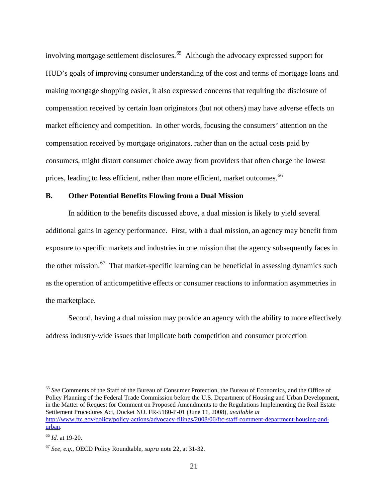involving mortgage settlement disclosures.<sup>65</sup> Although the advocacy expressed support for HUD's goals of improving consumer understanding of the cost and terms of mortgage loans and making mortgage shopping easier, it also expressed concerns that requiring the disclosure of compensation received by certain loan originators (but not others) may have adverse effects on market efficiency and competition. In other words, focusing the consumers' attention on the compensation received by mortgage originators, rather than on the actual costs paid by consumers, might distort consumer choice away from providers that often charge the lowest prices, leading to less efficient, rather than more efficient, market outcomes.<sup>[66](#page-20-1)</sup>

#### **B. Other Potential Benefits Flowing from a Dual Mission**

In addition to the benefits discussed above, a dual mission is likely to yield several additional gains in agency performance. First, with a dual mission, an agency may benefit from exposure to specific markets and industries in one mission that the agency subsequently faces in the other mission.<sup>[67](#page-20-2)</sup> That market-specific learning can be beneficial in assessing dynamics such as the operation of anticompetitive effects or consumer reactions to information asymmetries in the marketplace.

Second, having a dual mission may provide an agency with the ability to more effectively address industry-wide issues that implicate both competition and consumer protection

<span id="page-20-0"></span> 65 *See* Comments of the Staff of the Bureau of Consumer Protection, the Bureau of Economics, and the Office of Policy Planning of the Federal Trade Commission before the U.S. Department of Housing and Urban Development, in the Matter of Request for Comment on Proposed Amendments to the Regulations Implementing the Real Estate Settlement Procedures Act, Docket NO. FR-5180-P-01 (June 11, 2008), *available at* [http://www.ftc.gov/policy/policy-actions/advocacy-filings/2008/06/ftc-staff-comment-department-housing-and](http://www.ftc.gov/policy/policy-actions/advocacy-filings/2008/06/ftc-staff-comment-department-housing-and-urban)[urban.](http://www.ftc.gov/policy/policy-actions/advocacy-filings/2008/06/ftc-staff-comment-department-housing-and-urban)

<span id="page-20-1"></span><sup>66</sup> *Id.* at 19-20.

<span id="page-20-2"></span><sup>67</sup> *See, e.g.*, OECD Policy Roundtable, *supra* note [22,](#page-6-0) at 31-32.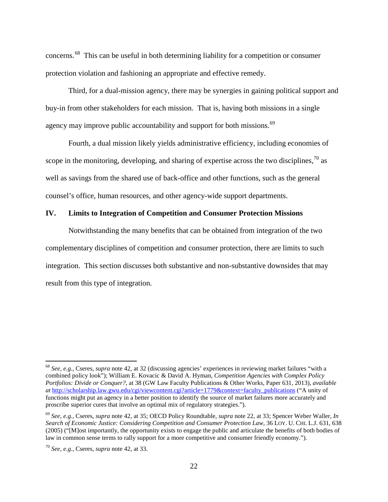<span id="page-21-3"></span>concerns. [68](#page-21-0) This can be useful in both determining liability for a competition or consumer protection violation and fashioning an appropriate and effective remedy.

Third, for a dual-mission agency, there may be synergies in gaining political support and buy-in from other stakeholders for each mission. That is, having both missions in a single agency may improve public accountability and support for both missions.<sup>[69](#page-21-1)</sup>

Fourth, a dual mission likely yields administrative efficiency, including economies of scope in the monitoring, developing, and sharing of expertise across the two disciplines,  $\frac{70}{9}$  $\frac{70}{9}$  $\frac{70}{9}$  as well as savings from the shared use of back-office and other functions, such as the general counsel's office, human resources, and other agency-wide support departments.

# **IV. Limits to Integration of Competition and Consumer Protection Missions**

Notwithstanding the many benefits that can be obtained from integration of the two complementary disciplines of competition and consumer protection, there are limits to such integration. This section discusses both substantive and non-substantive downsides that may result from this type of integration.

<span id="page-21-0"></span> <sup>68</sup> *See, e.g.*, Cseres, *supra* note [42,](#page-14-3) at 32 (discussing agencies' experiences in reviewing market failures "with a combined policy look"); William E. Kovacic & David A. Hyman, *Competition Agencies with Complex Policy Portfolios: Divide or Conquer?*, at 38 (GW Law Faculty Publications & Other Works, Paper 631, 2013), *available at* [http://scholarship.law.gwu.edu/cgi/viewcontent.cgi?article=1779&context=faculty\\_publications](http://scholarship.law.gwu.edu/cgi/viewcontent.cgi?article=1779&context=faculty_publications) ("A unity of functions might put an agency in a better position to identify the source of market failures more accurately and proscribe superior cures that involve an optimal mix of regulatory strategies.").

<span id="page-21-1"></span><sup>69</sup> *See, e.g.*, Cseres, *supra* note [42,](#page-14-3) at 35; OECD Policy Roundtable, *supra* note [22,](#page-6-0) at 33; Spencer Weber Waller, *In Search of Economic Justice: Considering Competition and Consumer Protection Law*, 36 LOY. U. CHI. L.J. 631, 638 (2005) ("[M]ost importantly, the opportunity exists to engage the public and articulate the benefits of both bodies of law in common sense terms to rally support for a more competitive and consumer friendly economy.").

<span id="page-21-2"></span><sup>70</sup> *See, e.g.*, Cseres, *supra* note [42,](#page-14-3) at 33.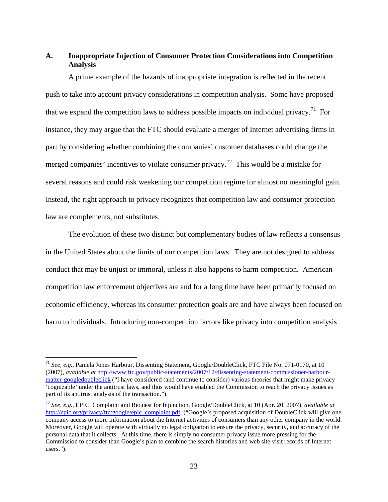# **A. Inappropriate Injection of Consumer Protection Considerations into Competition Analysis**

A prime example of the hazards of inappropriate integration is reflected in the recent push to take into account privacy considerations in competition analysis. Some have proposed that we expand the competition laws to address possible impacts on individual privacy.<sup>71</sup> For instance, they may argue that the FTC should evaluate a merger of Internet advertising firms in part by considering whether combining the companies' customer databases could change the merged companies' incentives to violate consumer privacy.<sup>[72](#page-22-1)</sup> This would be a mistake for several reasons and could risk weakening our competition regime for almost no meaningful gain. Instead, the right approach to privacy recognizes that competition law and consumer protection law are complements, not substitutes.

The evolution of these two distinct but complementary bodies of law reflects a consensus in the United States about the limits of our competition laws. They are not designed to address conduct that may be unjust or immoral, unless it also happens to harm competition. American competition law enforcement objectives are and for a long time have been primarily focused on economic efficiency, whereas its consumer protection goals are and have always been focused on harm to individuals. Introducing non-competition factors like privacy into competition analysis

<span id="page-22-0"></span> <sup>71</sup> *See, e.g.*, Pamela Jones Harbour, Dissenting Statement, Google/DoubleClick, FTC File No. 071-0170, at 10 (2007), *available at* [http://www.ftc.gov/public-statements/2007/12/dissenting-statement-commissioner-harbour](http://www.ftc.gov/public-statements/2007/12/dissenting-statement-commissioner-harbour-matter-googledoubleclick)[matter-googledoubleclick](http://www.ftc.gov/public-statements/2007/12/dissenting-statement-commissioner-harbour-matter-googledoubleclick) ("I have considered (and continue to consider) various theories that might make privacy 'cognizable' under the antitrust laws, and thus would have enabled the Commission to reach the privacy issues as part of its antitrust analysis of the transaction.").

<span id="page-22-1"></span><sup>72</sup> *See, e.g.*, EPIC, Complaint and Request for Injunction, Google/DoubleClick, at 10 (Apr. 20, 2007), *available at* [http://epic.org/privacy/ftc/google/epic\\_complaint.pdf.](http://epic.org/privacy/ftc/google/epic_complaint.pdf) ("Google's proposed acquisition of DoubleClick will give one company access to more information about the Internet activities of consumers than any other company in the world. Moreover, Google will operate with virtually no legal obligation to ensure the privacy, security, and accuracy of the personal data that it collects. At this time, there is simply no consumer privacy issue more pressing for the Commission to consider than Google's plan to combine the search histories and web site visit records of Internet users.").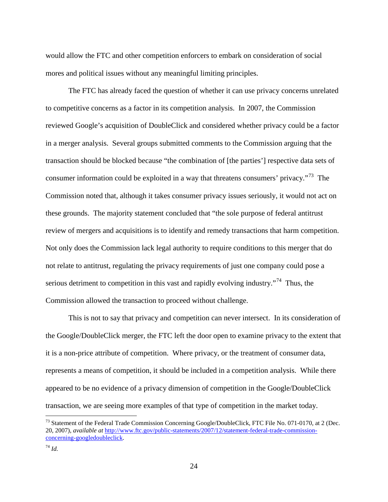would allow the FTC and other competition enforcers to embark on consideration of social mores and political issues without any meaningful limiting principles.

The FTC has already faced the question of whether it can use privacy concerns unrelated to competitive concerns as a factor in its competition analysis. In 2007, the Commission reviewed Google's acquisition of DoubleClick and considered whether privacy could be a factor in a merger analysis. Several groups submitted comments to the Commission arguing that the transaction should be blocked because "the combination of [the parties'] respective data sets of consumer information could be exploited in a way that threatens consumers' privacy."<sup>[73](#page-23-0)</sup> The Commission noted that, although it takes consumer privacy issues seriously, it would not act on these grounds. The majority statement concluded that "the sole purpose of federal antitrust review of mergers and acquisitions is to identify and remedy transactions that harm competition. Not only does the Commission lack legal authority to require conditions to this merger that do not relate to antitrust, regulating the privacy requirements of just one company could pose a serious detriment to competition in this vast and rapidly evolving industry.<sup> $74$ </sup> Thus, the Commission allowed the transaction to proceed without challenge.

This is not to say that privacy and competition can never intersect. In its consideration of the Google/DoubleClick merger, the FTC left the door open to examine privacy to the extent that it is a non-price attribute of competition. Where privacy, or the treatment of consumer data, represents a means of competition, it should be included in a competition analysis. While there appeared to be no evidence of a privacy dimension of competition in the Google/DoubleClick transaction, we are seeing more examples of that type of competition in the market today.

<span id="page-23-0"></span><sup>&</sup>lt;sup>73</sup> Statement of the Federal Trade Commission Concerning Google/DoubleClick, FTC File No. 071-0170, at 2 (Dec. 20, 2007), *available at* [http://www.ftc.gov/public-statements/2007/12/statement-federal-trade-commission](http://www.ftc.gov/public-statements/2007/12/statement-federal-trade-commission-concerning-googledoubleclick)[concerning-googledoubleclick.](http://www.ftc.gov/public-statements/2007/12/statement-federal-trade-commission-concerning-googledoubleclick)

<span id="page-23-1"></span><sup>74</sup> *Id.*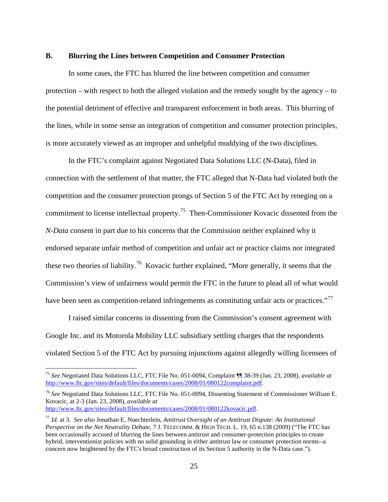#### **B. Blurring the Lines between Competition and Consumer Protection**

In some cases, the FTC has blurred the line between competition and consumer protection – with respect to both the alleged violation and the remedy sought by the agency – to the potential detriment of effective and transparent enforcement in both areas. This blurring of the lines, while in some sense an integration of competition and consumer protection principles, is more accurately viewed as an improper and unhelpful muddying of the two disciplines.

In the FTC's complaint against Negotiated Data Solutions LLC (N-Data), filed in connection with the settlement of that matter, the FTC alleged that N-Data had violated both the competition and the consumer protection prongs of Section 5 of the FTC Act by reneging on a commitment to license intellectual property.<sup>[75](#page-24-0)</sup> Then-Commissioner Kovacic dissented from the *N-Data* consent in part due to his concerns that the Commission neither explained why it endorsed separate unfair method of competition and unfair act or practice claims nor integrated these two theories of liability.<sup>76</sup> Kovacic further explained, "More generally, it seems that the Commission's view of unfairness would permit the FTC in the future to plead all of what would have been seen as competition-related infringements as constituting unfair acts or practices."<sup>[77](#page-24-2)</sup>

I raised similar concerns in dissenting from the Commission's consent agreement with Google Inc. and its Motorola Mobility LLC subsidiary settling charges that the respondents violated Section 5 of the FTC Act by pursuing injunctions against allegedly willing licensees of

<span id="page-24-1"></span><sup>76</sup> *See* Negotiated Data Solutions LLC, FTC File No. 051-0094, Dissenting Statement of Commissioner William E. Kovacic, at 2-3 (Jan. 23, 2008), *available at* [http://www.ftc.gov/sites/default/files/documents/cases/2008/01/080122kovacic.pdf.](http://www.ftc.gov/sites/default/files/documents/cases/2008/01/080122kovacic.pdf)

<span id="page-24-0"></span> <sup>75</sup> *See* Negotiated Data Solutions LLC, FTC File No. 051-0094, Complaint ¶¶ 38-39 (Jan. 23, 2008), *available at* [http://www.ftc.gov/sites/default/files/documents/cases/2008/01/080122complaint.pdf.](http://www.ftc.gov/sites/default/files/documents/cases/2008/01/080122complaint.pdf)

<span id="page-24-2"></span><sup>77</sup> *Id.* at 3. *See also* Jonathan E. Nuechterlein, *Antitrust Oversight of an Antitrust Dispute: An Institutional Perspective on the Net Neutrality Debate*, 7 J. TELECOMM. & HIGH TECH. L. 19, 65 n.138 (2009) ("The FTC has been occasionally accused of blurring the lines between antitrust and consumer-protection principles to create hybrid, interventionist policies with no solid grounding in either antitrust law or consumer protection norms--a concern now heightened by the FTC's broad construction of its Section 5 authority in the N-Data case.").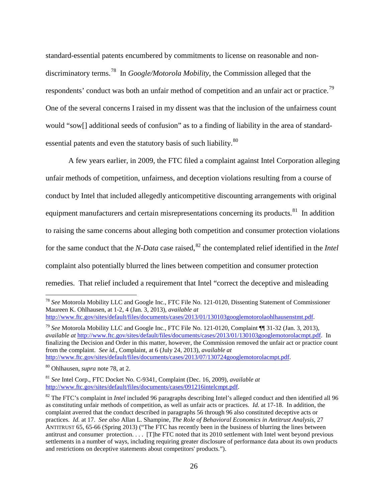<span id="page-25-0"></span>standard-essential patents encumbered by commitments to license on reasonable and nondiscriminatory terms.[78](#page-25-1) In *Google/Motorola Mobility*, the Commission alleged that the respondents' conduct was both an unfair method of competition and an unfair act or practice.<sup>79</sup> One of the several concerns I raised in my dissent was that the inclusion of the unfairness count would "sow[] additional seeds of confusion" as to a finding of liability in the area of standard-essential patents and even the statutory basis of such liability.<sup>[80](#page-25-3)</sup>

<span id="page-25-6"></span>A few years earlier, in 2009, the FTC filed a complaint against Intel Corporation alleging unfair methods of competition, unfairness, and deception violations resulting from a course of conduct by Intel that included allegedly anticompetitive discounting arrangements with original equipment manufacturers and certain misrepresentations concerning its products.<sup>[81](#page-25-4)</sup> In addition to raising the same concerns about alleging both competition and consumer protection violations for the same conduct that the *N-Data* case raised,<sup>[82](#page-25-5)</sup> the contemplated relief identified in the *Intel* complaint also potentially blurred the lines between competition and consumer protection remedies. That relief included a requirement that Intel "correct the deceptive and misleading

<span id="page-25-2"></span><sup>79</sup> *See* Motorola Mobility LLC and Google Inc., FTC File No. 121-0120, Complaint ¶¶ 31-32 (Jan. 3, 2013), *available at* [http://www.ftc.gov/sites/default/files/documents/cases/2013/01/130103googlemotorolacmpt.pdf.](http://www.ftc.gov/sites/default/files/documents/cases/2013/01/130103googlemotorolacmpt.pdf) In finalizing the Decision and Order in this matter, however, the Commission removed the unfair act or practice count from the complaint. *See id.*, Complaint, at 6 (July 24, 2013), *available at* [http://www.ftc.gov/sites/default/files/documents/cases/2013/07/130724googlemotorolacmpt.pdf.](http://www.ftc.gov/sites/default/files/documents/cases/2013/07/130724googlemotorolacmpt.pdf)

<span id="page-25-1"></span> <sup>78</sup> *See* Motorola Mobility LLC and Google Inc., FTC File No. 121-0120, Dissenting Statement of Commissioner Maureen K. Ohlhausen, at 1-2, 4 (Jan. 3, 2013), *available at*

[http://www.ftc.gov/sites/default/files/documents/cases/2013/01/130103googlemotorolaohlhausenstmt.pdf.](http://www.ftc.gov/sites/default/files/documents/cases/2013/01/130103googlemotorolaohlhausenstmt.pdf)

<span id="page-25-3"></span><sup>80</sup> Ohlhausen, *supra* note [78,](#page-25-0) at 2.

<span id="page-25-4"></span><sup>81</sup> *See* Intel Corp., FTC Docket No. C-9341, Complaint (Dec. 16, 2009), *available at* [http://www.ftc.gov/sites/default/files/documents/cases/091216intelcmpt.pdf.](http://www.ftc.gov/sites/default/files/documents/cases/091216intelcmpt.pdf)

<span id="page-25-5"></span><sup>82</sup> The FTC's complaint in *Intel* included 96 paragraphs describing Intel's alleged conduct and then identified all 96 as constituting unfair methods of competition, as well as unfair acts or practices. *Id.* at 17-18. In addition, the complaint averred that the conduct described in paragraphs 56 through 96 also constituted deceptive acts or practices. *Id.* at 17. *See also* Allan L. Shampine, *The Role of Behavioral Economics in Antitrust Analysis*, 27 ANTITRUST 65, 65-66 (Spring 2013) ("The FTC has recently been in the business of blurring the lines between antitrust and consumer protection. . . . [T]he FTC noted that its 2010 settlement with Intel went beyond previous settlements in a number of ways, including requiring greater disclosure of performance data about its own products and restrictions on deceptive statements about competitors' products.").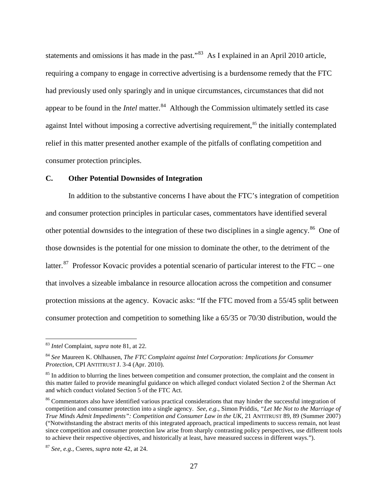statements and omissions it has made in the past."<sup>[83](#page-26-0)</sup> As I explained in an April 2010 article, requiring a company to engage in corrective advertising is a burdensome remedy that the FTC had previously used only sparingly and in unique circumstances, circumstances that did not appear to be found in the *Intel* matter.<sup>84</sup> Although the Commission ultimately settled its case against Intel without imposing a corrective advertising requirement,<sup>[85](#page-26-2)</sup> the initially contemplated relief in this matter presented another example of the pitfalls of conflating competition and consumer protection principles.

# **C. Other Potential Downsides of Integration**

In addition to the substantive concerns I have about the FTC's integration of competition and consumer protection principles in particular cases, commentators have identified several other potential downsides to the integration of these two disciplines in a single agency.<sup>[86](#page-26-3)</sup> One of those downsides is the potential for one mission to dominate the other, to the detriment of the latter.<sup>[87](#page-26-4)</sup> Professor Kovacic provides a potential scenario of particular interest to the FTC – one that involves a sizeable imbalance in resource allocation across the competition and consumer protection missions at the agency. Kovacic asks: "If the FTC moved from a 55/45 split between consumer protection and competition to something like a 65/35 or 70/30 distribution, would the

<span id="page-26-0"></span> <sup>83</sup> *Intel* Complaint, *supra* note [81,](#page-25-6) at 22.

<span id="page-26-1"></span><sup>84</sup> *See* Maureen K. Ohlhausen, *The FTC Complaint against Intel Corporation: Implications for Consumer Protection*, CPI ANTITRUST J. 3-4 (Apr. 2010).

<span id="page-26-2"></span><sup>&</sup>lt;sup>85</sup> In addition to blurring the lines between competition and consumer protection, the complaint and the consent in this matter failed to provide meaningful guidance on which alleged conduct violated Section 2 of the Sherman Act and which conduct violated Section 5 of the FTC Act.

<span id="page-26-3"></span><sup>&</sup>lt;sup>86</sup> Commentators also have identified various practical considerations that may hinder the successful integration of competition and consumer protection into a single agency. *See, e.g.*, Simon Priddis, *"Let Me Not to the Marriage of True Minds Admit Impediments": Competition and Consumer Law in the UK*, 21 ANTITRUST 89, 89 (Summer 2007) ("Notwithstanding the abstract merits of this integrated approach, practical impediments to success remain, not least since competition and consumer protection law arise from sharply contrasting policy perspectives, use different tools to achieve their respective objectives, and historically at least, have measured success in different ways.").

<span id="page-26-4"></span><sup>87</sup> *See, e.g.*, Cseres, *supra* note [42,](#page-14-3) at 24.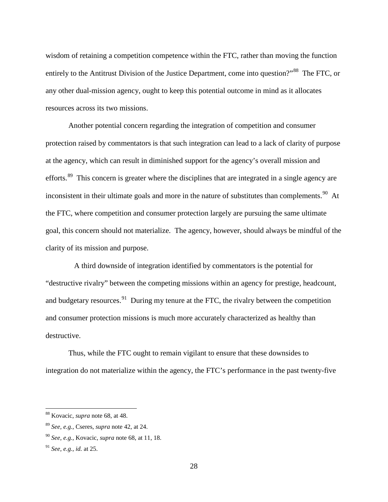wisdom of retaining a competition competence within the FTC, rather than moving the function entirely to the Antitrust Division of the Justice Department, come into question?"<sup>[88](#page-27-0)</sup> The FTC, or any other dual-mission agency, ought to keep this potential outcome in mind as it allocates resources across its two missions.

Another potential concern regarding the integration of competition and consumer protection raised by commentators is that such integration can lead to a lack of clarity of purpose at the agency, which can result in diminished support for the agency's overall mission and efforts.<sup>[89](#page-27-1)</sup> This concern is greater where the disciplines that are integrated in a single agency are inconsistent in their ultimate goals and more in the nature of substitutes than complements. $90$  At the FTC, where competition and consumer protection largely are pursuing the same ultimate goal, this concern should not materialize. The agency, however, should always be mindful of the clarity of its mission and purpose.

 A third downside of integration identified by commentators is the potential for "destructive rivalry" between the competing missions within an agency for prestige, headcount, and budgetary resources.<sup>[91](#page-27-3)</sup> During my tenure at the FTC, the rivalry between the competition and consumer protection missions is much more accurately characterized as healthy than destructive.

Thus, while the FTC ought to remain vigilant to ensure that these downsides to integration do not materialize within the agency, the FTC's performance in the past twenty-five

<span id="page-27-0"></span> <sup>88</sup> Kovacic, *supra* note [68,](#page-21-3) at 48.

<span id="page-27-1"></span><sup>89</sup> *See, e.g.*, Cseres, *supra* note [42,](#page-14-3) at 24.

<span id="page-27-2"></span><sup>90</sup> *See, e.g.*, Kovacic, *supra* not[e 68,](#page-21-3) at 11, 18.

<span id="page-27-3"></span><sup>91</sup> *See, e.g.*, *id.* at 25.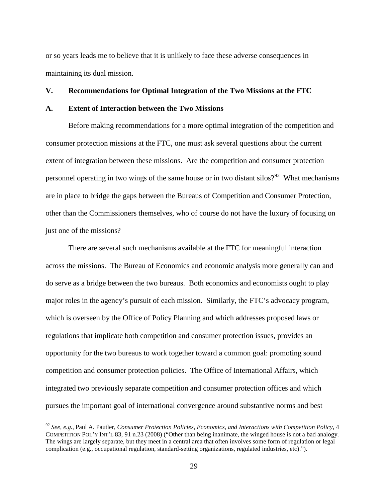or so years leads me to believe that it is unlikely to face these adverse consequences in maintaining its dual mission.

## **V. Recommendations for Optimal Integration of the Two Missions at the FTC**

# **A. Extent of Interaction between the Two Missions**

Before making recommendations for a more optimal integration of the competition and consumer protection missions at the FTC, one must ask several questions about the current extent of integration between these missions. Are the competition and consumer protection personnel operating in two wings of the same house or in two distant  $silos?$ <sup>92</sup> What mechanisms are in place to bridge the gaps between the Bureaus of Competition and Consumer Protection, other than the Commissioners themselves, who of course do not have the luxury of focusing on just one of the missions?

There are several such mechanisms available at the FTC for meaningful interaction across the missions. The Bureau of Economics and economic analysis more generally can and do serve as a bridge between the two bureaus. Both economics and economists ought to play major roles in the agency's pursuit of each mission. Similarly, the FTC's advocacy program, which is overseen by the Office of Policy Planning and which addresses proposed laws or regulations that implicate both competition and consumer protection issues, provides an opportunity for the two bureaus to work together toward a common goal: promoting sound competition and consumer protection policies. The Office of International Affairs, which integrated two previously separate competition and consumer protection offices and which pursues the important goal of international convergence around substantive norms and best

<span id="page-28-0"></span> <sup>92</sup> *See, e.g.*, Paul A. Pautler, *Consumer Protection Policies, Economics, and Interactions with Competition Policy*, 4 COMPETITION POL'Y INT'L 83, 91 n.23 (2008) ("Other than being inanimate, the winged house is not a bad analogy. The wings are largely separate, but they meet in a central area that often involves some form of regulation or legal complication (e.g., occupational regulation, standard-setting organizations, regulated industries, etc).").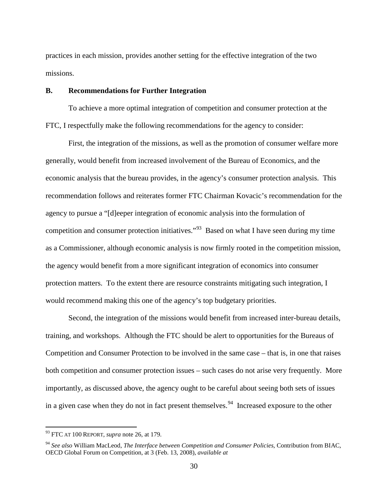practices in each mission, provides another setting for the effective integration of the two missions.

# **B. Recommendations for Further Integration**

To achieve a more optimal integration of competition and consumer protection at the FTC, I respectfully make the following recommendations for the agency to consider:

First, the integration of the missions, as well as the promotion of consumer welfare more generally, would benefit from increased involvement of the Bureau of Economics, and the economic analysis that the bureau provides, in the agency's consumer protection analysis. This recommendation follows and reiterates former FTC Chairman Kovacic's recommendation for the agency to pursue a "[d]eeper integration of economic analysis into the formulation of competition and consumer protection initiatives.<sup> $93$ </sup> Based on what I have seen during my time as a Commissioner, although economic analysis is now firmly rooted in the competition mission, the agency would benefit from a more significant integration of economics into consumer protection matters. To the extent there are resource constraints mitigating such integration, I would recommend making this one of the agency's top budgetary priorities.

Second, the integration of the missions would benefit from increased inter-bureau details, training, and workshops. Although the FTC should be alert to opportunities for the Bureaus of Competition and Consumer Protection to be involved in the same case – that is, in one that raises both competition and consumer protection issues – such cases do not arise very frequently. More importantly, as discussed above, the agency ought to be careful about seeing both sets of issues in a given case when they do not in fact present themselves.<sup>94</sup> Increased exposure to the other

<span id="page-29-0"></span> <sup>93</sup> FTC AT 100 REPORT, *supra* note [26,](#page-7-2) at 179.

<span id="page-29-1"></span><sup>94</sup> *See also* William MacLeod, *The Interface between Competition and Consumer Policies*, Contribution from BIAC, OECD Global Forum on Competition, at 3 (Feb. 13, 2008), *available at*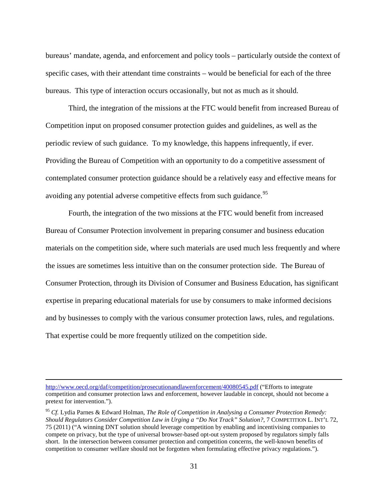bureaus' mandate, agenda, and enforcement and policy tools – particularly outside the context of specific cases, with their attendant time constraints – would be beneficial for each of the three bureaus. This type of interaction occurs occasionally, but not as much as it should.

Third, the integration of the missions at the FTC would benefit from increased Bureau of Competition input on proposed consumer protection guides and guidelines, as well as the periodic review of such guidance. To my knowledge, this happens infrequently, if ever. Providing the Bureau of Competition with an opportunity to do a competitive assessment of contemplated consumer protection guidance should be a relatively easy and effective means for avoiding any potential adverse competitive effects from such guidance.<sup>[95](#page-30-0)</sup>

Fourth, the integration of the two missions at the FTC would benefit from increased Bureau of Consumer Protection involvement in preparing consumer and business education materials on the competition side, where such materials are used much less frequently and where the issues are sometimes less intuitive than on the consumer protection side. The Bureau of Consumer Protection, through its Division of Consumer and Business Education, has significant expertise in preparing educational materials for use by consumers to make informed decisions and by businesses to comply with the various consumer protection laws, rules, and regulations. That expertise could be more frequently utilized on the competition side.

 $\overline{a}$ 

<http://www.oecd.org/daf/competition/prosecutionandlawenforcement/40080545.pdf> ("Efforts to integrate competition and consumer protection laws and enforcement, however laudable in concept, should not become a pretext for intervention.").

<span id="page-30-0"></span><sup>95</sup> *Cf.* Lydia Parnes & Edward Holman, *The Role of Competition in Analysing a Consumer Protection Remedy: Should Regulators Consider Competition Law in Urging a "Do Not Track" Solution?*, 7 COMPETITION L. INT'L 72, 75 (2011) ("A winning DNT solution should leverage competition by enabling and incentivising companies to compete on privacy, but the type of universal browser-based opt-out system proposed by regulators simply falls short. In the intersection between consumer protection and competition concerns, the well-known benefits of competition to consumer welfare should not be forgotten when formulating effective privacy regulations.").